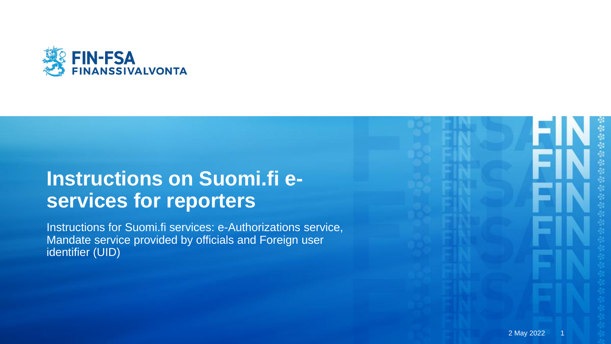

# **Instructions on Suomi.fi eservices for reporters**

Instructions for Suomi.fi services: e-Authorizations service, Mandate service provided by officials and Foreign user identifier (UID)

2 May 2022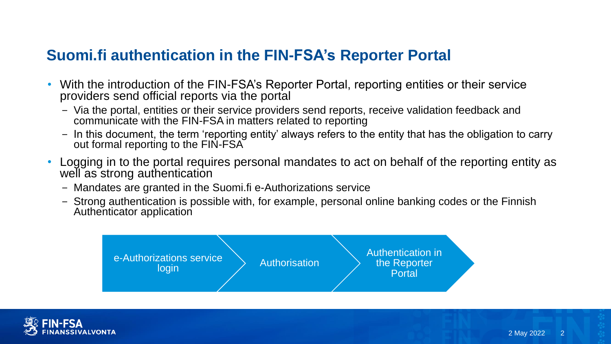### **Suomi.fi authentication in the FIN-FSA's Reporter Portal**

- With the introduction of the FIN-FSA's Reporter Portal, reporting entities or their service providers send official reports via the portal
	- − Via the portal, entities or their service providers send reports, receive validation feedback and communicate with the FIN-FSA in matters related to reporting
	- − In this document, the term 'reporting entity' always refers to the entity that has the obligation to carry out formal reporting to the FIN-FSA
- Logging in to the portal requires personal mandates to act on behalf of the reporting entity as well as strong authentication
	- − Mandates are granted in the Suomi.fi e-Authorizations service
	- − Strong authentication is possible with, for example, personal online banking codes or the Finnish Authenticator application



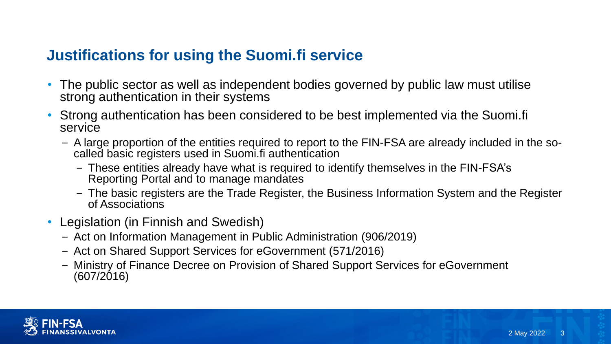### **Justifications for using the Suomi.fi service**

- The public sector as well as independent bodies governed by public law must utilise strong authentication in their systems
- Strong authentication has been considered to be best implemented via the Suomi.fi service
	- − A large proportion of the entities required to report to the FIN-FSA are already included in the socalled basic registers used in Suomi.fi authentication
		- − These entities already have what is required to identify themselves in the FIN-FSA's Reporting Portal and to manage mandates
		- − The basic registers are the Trade Register, the Business Information System and the Register of Associations
- Legislation (in Finnish and Swedish)
	- − Act on Information Management in Public Administration (906/2019)
	- − Act on Shared Support Services for eGovernment (571/2016)
	- − Ministry of Finance Decree on Provision of Shared Support Services for eGovernment (607/2016)

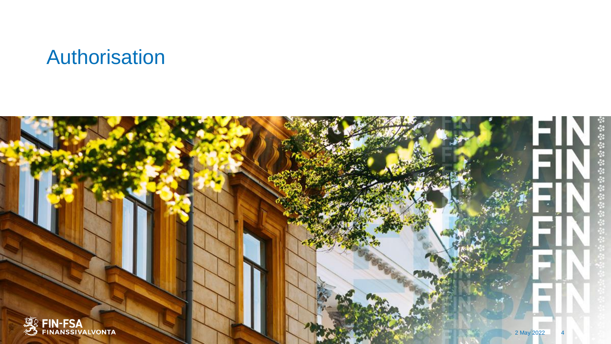# Authorisation

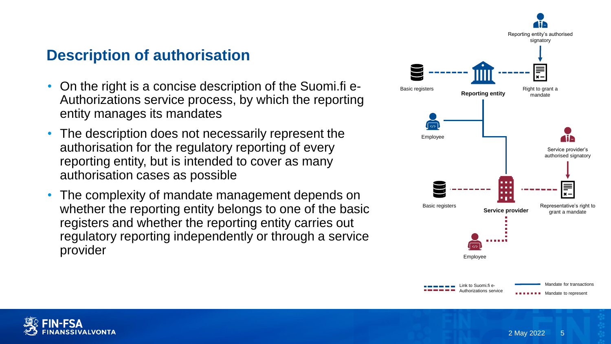### **Description of authorisation**

- On the right is a concise description of the Suomi.fi e-Authorizations service process, by which the reporting entity manages its mandates
- The description does not necessarily represent the authorisation for the regulatory reporting of every reporting entity, but is intended to cover as many authorisation cases as possible
- The complexity of mandate management depends on whether the reporting entity belongs to one of the basic registers and whether the reporting entity carries out regulatory reporting independently or through a service provider



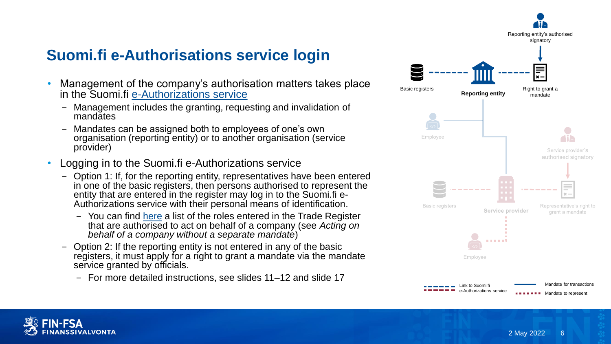# **Suomi.fi e-Authorisations service login**

- Management of the company's authorisation matters takes place in the Suomi.fi [e-Authorizations service](https://www.suomi.fi/e-authorizations)
	- − Management includes the granting, requesting and invalidation of mandates
	- − Mandates can be assigned both to employees of one's own organisation (reporting entity) or to another organisation (service provider)
- Logging in to the Suomi.fi e-Authorizations service
	- − Option 1: If, for the reporting entity, representatives have been entered in one of the basic registers, then persons authorised to represent the entity that are entered in the register may log in to the Suomi.fi e-Authorizations service with their personal means of identification.
		- − You can find [here](https://www.suomi.fi/instructions-and-support/information-on-eauthorizations/acting-on-behalf-of-a-company-or-an-organisation) a list of the roles entered in the Trade Register that are authorised to act on behalf of a company (see *Acting on behalf of a company without a separate mandate*)
	- − Option 2: If the reporting entity is not entered in any of the basic registers, it must apply for a right to grant a mandate via the mandate service granted by officials.
		- − For more detailed instructions, see slides 11–12 and slide 17



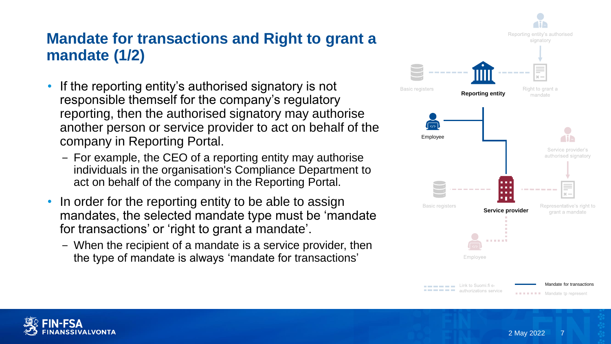### **Mandate for transactions and Right to grant a mandate (1/2)**

- If the reporting entity's authorised signatory is not responsible themself for the company's regulatory reporting, then the authorised signatory may authorise another person or service provider to act on behalf of the company in Reporting Portal.
	- − For example, the CEO of a reporting entity may authorise individuals in the organisation's Compliance Department to act on behalf of the company in the Reporting Portal.
- In order for the reporting entity to be able to assign mandates, the selected mandate type must be 'mandate for transactions' or 'right to grant a mandate'.
	- − When the recipient of a mandate is a service provider, then the type of mandate is always 'mandate for transactions'



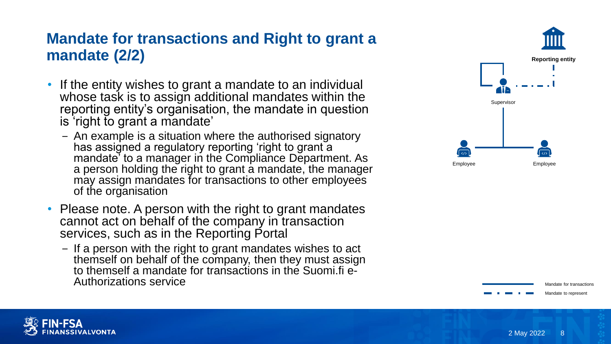### **Mandate for transactions and Right to grant a mandate (2/2)**

- If the entity wishes to grant a mandate to an individual whose task is to assign additional mandates within the reporting entity's organisation, the mandate in question is 'right to grant a mandate'
	- − An example is a situation where the authorised signatory has assigned a regulatory reporting 'right to grant a mandate' to a manager in the Compliance Department. As a person holding the right to grant a mandate, the manager may assign mandates for transactions to other employees of the organisation
- Please note. A person with the right to grant mandates cannot act on behalf of the company in transaction services, such as in the Reporting Portal
	- − If a person with the right to grant mandates wishes to act themself on behalf of the company, then they must assign to themself a mandate for transactions in the Suomi.fi e-Authorizations service





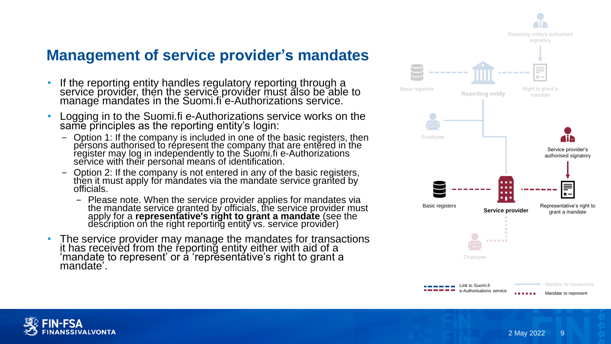## **Management of service provider's mandates**

- If the reporting entity handles regulatory reporting through a service provider, then the service provider must also be able to manage mandates in the Suomi.fi e-Authorizations service.
- Logging in to the Suomi.fi e-Authorizations service works on the same principles as the reporting entity's login:
	- − Option 1: If the company is included in one of the basic registers, then persons authorised to répresent the company that are entered in the register may log in independently to the Suomi.fi e-Authorizations service with their personal means of identification.
	- − Option 2: If the company is not entered in any of the basic registers, then it must apply for mandates via the mandate service granted by officials.
		- − Please note. When the service provider applies for mandates via the mandate service granted by officials, the service provider must apply for a **representative's right to grant a mandate** (see the description on the right reporting entity vs. service provider)
- The service provider may manage the mandates for transactions it has received from the reporting entity either with aid of a 'mandate to represent' or a 'representative's right to grant a mandate'.



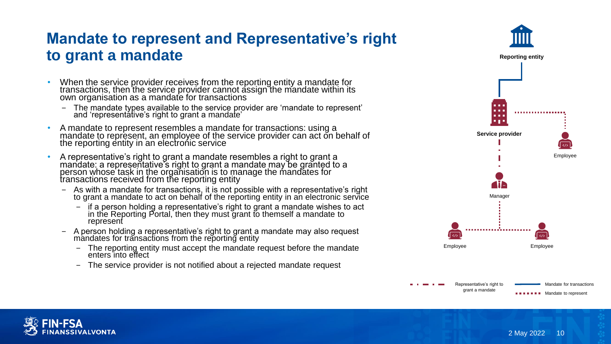### **Mandate to represent and Representative's right to grant a mandate**

- When the service provider receives from the reporting entity a mandate for transactions, then the service provider cannot assign the mandate within its own organisation as a mandate for transactions
	- − The mandate types available to the service provider are 'mandate to represent' and 'representative's right to grant a mandate'
- A mandate to represent resembles a mandate for transactions: using a mandate to represent, an employee of the service provider can act on behalf of the reporting entity in an electronic service
- A representative's right to grant a mandate resembles a right to grant a mandate: a representative's right to grant a mandate may be granted to a person whose task in the organisation is to manage the mandates for transactions received from the reporting entity
	- − As with a mandate for transactions, it is not possible with a representative's right to grant a mandate to act on behalf of the reporting entity in an electronic service
		- − if a person holding a representative's right to grant a mandate wishes to act in the Reporting Portal, then they must grant to themself a mandate to represent
	- − A person holding a representative's right to grant a mandate may also request mandates for transactions from the reporting entity
		- The reporting entity must accept the mandate request before the mandate enters into effect
		- The service provider is not notified about a rejected mandate request





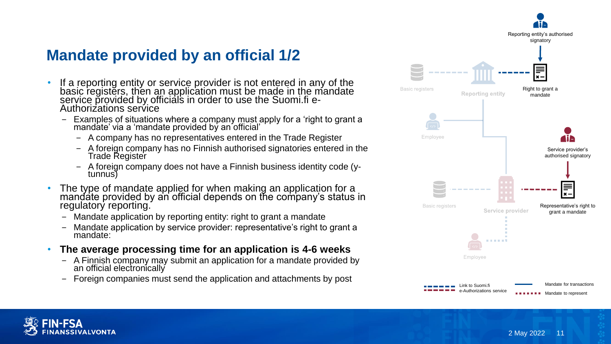**Mandate provided by an official 1/2**

- If a reporting entity or service provider is not entered in any of the basic registers, then an application must be made in the mandate service provided by officials in order to use the Suomi.fi e-Authorizations service
	- − Examples of situations where a company must apply for a 'right to grant a mandate' via a 'mandate provided by an official'
		- − A company has no representatives entered in the Trade Register
		- − A foreign company has no Finnish authorised signatories entered in the Trade Register
		- − A foreign company does not have a Finnish business identity code (ytunnus)
- The type of mandate applied for when making an application for a mandate provided by an official depends on the company's status in regulatory reporting.
	- − Mandate application by reporting entity: right to grant a mandate
	- − Mandate application by service provider: representative's right to grant a mandate:
- **The average processing time for an application is 4-6 weeks**
	- − A Finnish company may submit an application for a mandate provided by an official electronically
	- − Foreign companies must send the application and attachments by post



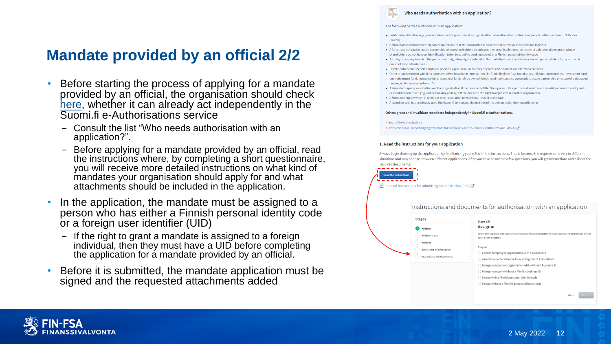# **Mandate provided by an official 2/2**

- Before starting the process of applying for a mandate provided by an official, the organisation should check [here](https://www.suomi.fi/e-authorizations/authorisation-with-an-application), whether it can already act independently in the Suomi.fi e -Authorisations service
	- − Consult the list "Who needs authorisation with an application?".
	- − Before applying for a mandate provided by an official, read the instructions where, by completing a short questionnaire, you will receive more detailed instructions on what kind of mandates your organisation should apply for and what attachments should be included in the application .
- In the application, the mandate must be assigned to a person who has either a Finnish personal identity code or a foreign user identifier (UID )
	- − If the right to grant a mandate is assigned to a foreign individual, then they must have a UID before completing the application for a mandate provided by an official.
- Before it is submitted, the mandate application must be signed and the requested attachments added

### Who needs authorisation with an application?

### The following parties authorise with an application:

- . Public administration (e.g., municipal or central government or organisation, educational institution, Evangelical Lutheran Church, Orthodox Church)
- A Finnish association whose signature rule states that the association is represented by two or more persons together
- A forest, agricultural or estate partnership whose shareholders include another organisation (e.g. an estate of a deceased person) or whose shareholders do not have an identification token (e.g. online banking codes) or a Finnish personal identity code
- . A foreign company in which the persons with signatory rights entered in the Trade Register do not have a Finnish personal identity code or which does not have a business ID
- · Private entrepreneurs, self-employed persons, agricultural or forestry operators who cannot use electronic services
- Other organisation for which no representatives have been entered into the Trade Register (e.g. foundation, religious communities, investment fund unemployment fund, insurance fund, personnel fund, jointly owned forest, road maintenance association, estate partnership or estate of a decease person, which have a business ID
- A Finnish company, association or other organisation if the persons entitled to represent it or partners do not have a Finnish personal identity code or identification token (e.g. online banking codes) or if the one with the right to represent is another organisation
- A Finnish company which is bankrupt or in liquidation or which has ceased to operate
- A guardian who has previously used the Katso ID to manage the matters of the person under their guardianship

#### Others grant and invalidate mandates independently in Suomi.fi e-Authorizations.

#### > Suomi.fi e-Authorizations

> Instructions for users changing over from the Katso service to Suomi.fi e-Authorizations - dvv.fi <a>[</a>

### 1. Read the instructions for your application

Always begin drawing up the application by familiarising yourself with the instructions. This is because the requirements vary in different situations and may change between different applications. After you have answered a few questions, you will get instructions and a list of the required documents. ------



### Instructions and documents for authorisation with an application



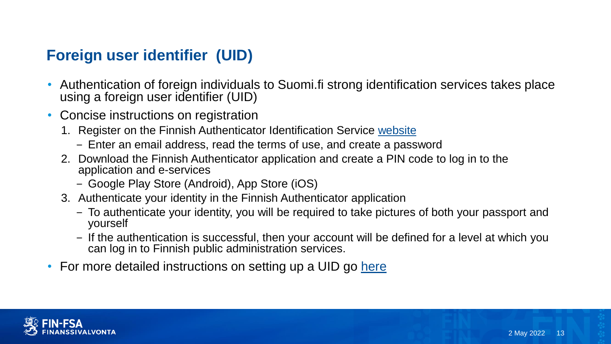## **Foreign user identifier (UID)**

- Authentication of foreign individuals to Suomi.fi strong identification services takes place using a foreign user identifier (UID)
- Concise instructions on registration
	- 1. Register on the Finnish Authenticator Identification Service [website](https://idm.finnauth.tunnistaminen.suomi.fi/self-care/)
		- − Enter an email address, read the terms of use, and create a password
	- 2. Download the Finnish Authenticator application and create a PIN code to log in to the application and e-services
		- − Google Play Store (Android), App Store (iOS)
	- 3. Authenticate your identity in the Finnish Authenticator application
		- − To authenticate your identity, you will be required to take pictures of both your passport and yourself
		- − If the authentication is successful, then your account will be defined for a level at which you can log in to Finnish public administration services.
- For more detailed instructions on setting up a UID go [here](https://www.suomi.fi/instructions-and-support/information-on-eidentification/finnish-authenticator-identification-service)

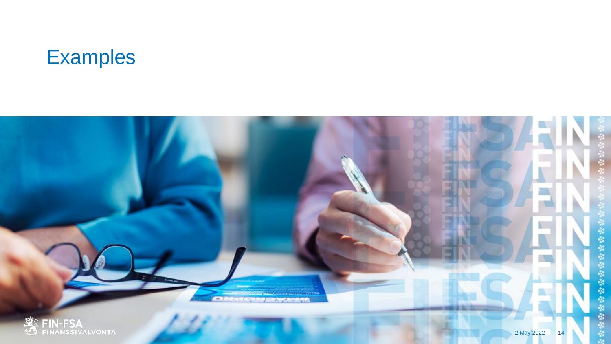

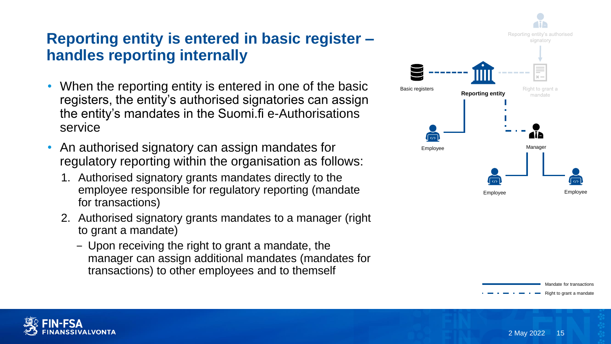# **Reporting entity is entered in basic register – handles reporting internally**

- When the reporting entity is entered in one of the basic registers, the entity's authorised signatories can assign the entity's mandates in the Suomi.fi e-Authorisations service
- An authorised signatory can assign mandates for regulatory reporting within the organisation as follows:
	- 1. Authorised signatory grants mandates directly to the employee responsible for regulatory reporting (mandate for transactions)
	- 2. Authorised signatory grants mandates to a manager (right to grant a mandate)
		- − Upon receiving the right to grant a mandate, the manager can assign additional mandates (mandates for transactions) to other employees and to themself





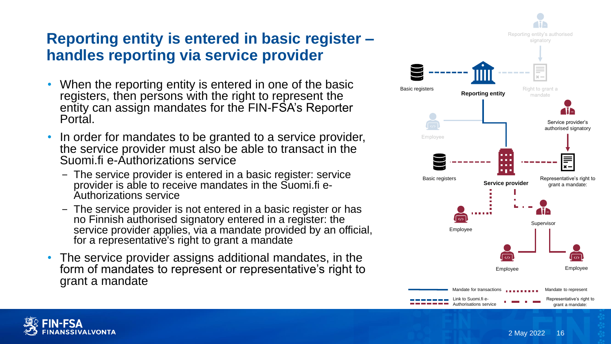## **Reporting entity is entered in basic register – handles reporting via service provider**

- When the reporting entity is entered in one of the basic registers, then persons with the right to represent the entity can assign mandates for the FIN-FSA's Reporter Portal.
- In order for mandates to be granted to a service provider, the service provider must also be able to transact in the Suomi.fi e-Authorizations service
	- − The service provider is entered in a basic register: service provider is able to receive mandates in the Suomi.fi e-Authorizations service
	- − The service provider is not entered in a basic register or has no Finnish authorised signatory entered in a register: the service provider applies, via a mandate provided by an official, for a representative's right to grant a mandate
- The service provider assigns additional mandates, in the form of mandates to represent or representative's right to grant a mandate